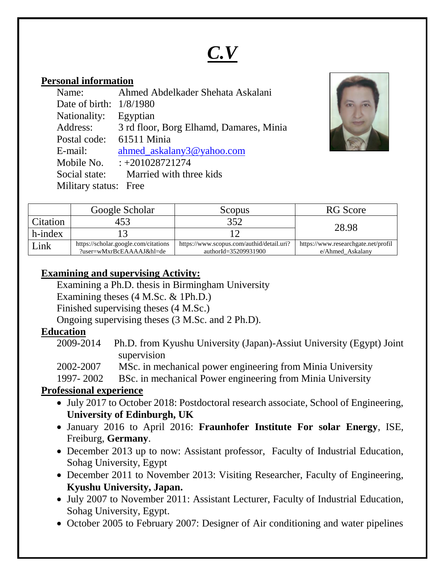# *C.V*

#### **Personal information**

| Name:                     | Ahmed Abdelkader Shehata Askalani       |
|---------------------------|-----------------------------------------|
| Date of birth: $1/8/1980$ |                                         |
| Nationality: Egyptian     |                                         |
| Address:                  | 3 rd floor, Borg Elhamd, Damares, Minia |
| Postal code:              | 61511 Minia                             |
| E-mail:                   | ahmed askalany3@yahoo.com               |
| Mobile No.                | $: +201028721274$                       |
| Social state:             | Married with three kids                 |
| Military status: Free     |                                         |



|          | Google Scholar                                                   | Scopus                                                            | <b>RG</b> Score                                         |
|----------|------------------------------------------------------------------|-------------------------------------------------------------------|---------------------------------------------------------|
| Citation | 453                                                              | 352                                                               | 28.98                                                   |
| h-index  |                                                                  |                                                                   |                                                         |
| Link     | https://scholar.google.com/citations<br>?user=wMxrBcEAAAAJ&hl=de | https://www.scopus.com/authid/detail.uri?<br>authorId=35209931900 | https://www.researchgate.net/profil<br>e/Ahmed Askalany |

## **Examining and supervising Activity:**

Examining a Ph.D. thesis in Birmingham University

Examining theses (4 M.Sc. & 1Ph.D.)

Finished supervising theses (4 M.Sc.)

Ongoing supervising theses (3 M.Sc. and 2 Ph.D).

# **Education**

2009-2014 Ph.D. from Kyushu University (Japan)-Assiut University (Egypt) Joint supervision

2002-2007 MSc. in mechanical power engineering from Minia University

1997- 2002 BSc. in mechanical Power engineering from Minia University

# **Professional experience**

- July 2017 to October 2018: Postdoctoral research associate, School of Engineering, **University of Edinburgh, UK**
- January 2016 to April 2016: **Fraunhofer Institute For solar Energy**, ISE, Freiburg, **Germany**.
- December 2013 up to now: Assistant professor, Faculty of Industrial Education, Sohag University, Egypt
- December 2011 to November 2013: Visiting Researcher, Faculty of Engineering, **Kyushu University, Japan.**
- July 2007 to November 2011: Assistant Lecturer, Faculty of Industrial Education, Sohag University, Egypt.
- October 2005 to February 2007: Designer of Air conditioning and water pipelines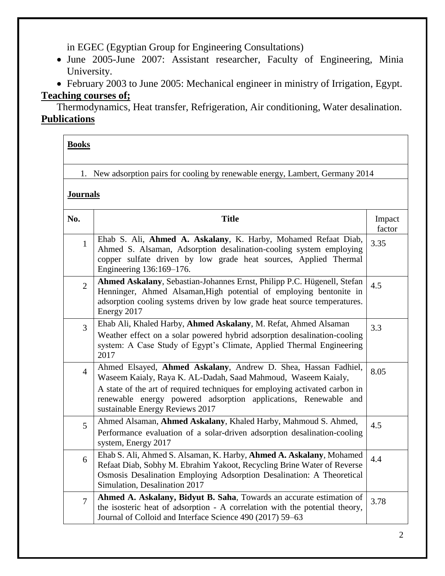in EGEC (Egyptian Group for Engineering Consultations)

- June 2005-June 2007: Assistant researcher, Faculty of Engineering, Minia University.
- February 2003 to June 2005: Mechanical engineer in ministry of Irrigation, Egypt.

## **Teaching courses of;**

Thermodynamics, Heat transfer, Refrigeration, Air conditioning, Water desalination. **Publications**

| <b>Books</b>   |                                                                                                                                                                                                                                                                                                                      |                  |  |
|----------------|----------------------------------------------------------------------------------------------------------------------------------------------------------------------------------------------------------------------------------------------------------------------------------------------------------------------|------------------|--|
| 1.             | New adsorption pairs for cooling by renewable energy, Lambert, Germany 2014                                                                                                                                                                                                                                          |                  |  |
|                | <b>Journals</b>                                                                                                                                                                                                                                                                                                      |                  |  |
| No.            | <b>Title</b>                                                                                                                                                                                                                                                                                                         | Impact<br>factor |  |
| $\mathbf{1}$   | Ehab S. Ali, Ahmed A. Askalany, K. Harby, Mohamed Refaat Diab,<br>Ahmed S. Alsaman, Adsorption desalination-cooling system employing<br>copper sulfate driven by low grade heat sources, Applied Thermal<br>Engineering 136:169-176.                                                                                 | 3.35             |  |
| $\overline{2}$ | Ahmed Askalany, Sebastian-Johannes Ernst, Philipp P.C. Hügenell, Stefan<br>Henninger, Ahmed Alsaman, High potential of employing bentonite in<br>adsorption cooling systems driven by low grade heat source temperatures.<br>Energy 2017                                                                             | 4.5              |  |
| $\overline{3}$ | Ehab Ali, Khaled Harby, Ahmed Askalany, M. Refat, Ahmed Alsaman<br>Weather effect on a solar powered hybrid adsorption desalination-cooling<br>system: A Case Study of Egypt's Climate, Applied Thermal Engineering<br>2017                                                                                          | 3.3              |  |
| $\overline{4}$ | Ahmed Elsayed, Ahmed Askalany, Andrew D. Shea, Hassan Fadhiel,<br>Waseem Kaialy, Raya K. AL-Dadah, Saad Mahmoud, Waseem Kaialy,<br>A state of the art of required techniques for employing activated carbon in<br>renewable energy powered adsorption applications, Renewable and<br>sustainable Energy Reviews 2017 | 8.05             |  |
| 5              | Ahmed Alsaman, Ahmed Askalany, Khaled Harby, Mahmoud S. Ahmed,<br>Performance evaluation of a solar-driven adsorption desalination-cooling<br>system, Energy 2017                                                                                                                                                    | 4.5              |  |
| 6              | Ehab S. Ali, Ahmed S. Alsaman, K. Harby, Ahmed A. Askalany, Mohamed<br>Refaat Diab, Sobhy M. Ebrahim Yakoot, Recycling Brine Water of Reverse<br>Osmosis Desalination Employing Adsorption Desalination: A Theoretical<br>Simulation, Desalination 2017                                                              | 4.4              |  |
| $\overline{7}$ | Ahmed A. Askalany, Bidyut B. Saha, Towards an accurate estimation of<br>the isosteric heat of adsorption - A correlation with the potential theory,<br>Journal of Colloid and Interface Science 490 (2017) 59-63                                                                                                     | 3.78             |  |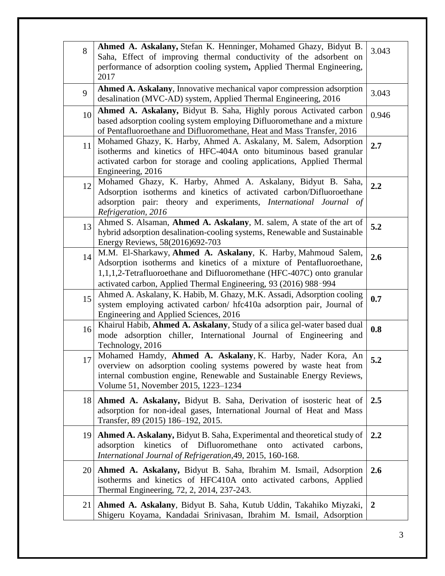| 8         | Ahmed A. Askalany, Stefan K. Henninger, Mohamed Ghazy, Bidyut B.<br>Saha, Effect of improving thermal conductivity of the adsorbent on<br>performance of adsorption cooling system, Applied Thermal Engineering,<br>2017                                                            | 3.043          |
|-----------|-------------------------------------------------------------------------------------------------------------------------------------------------------------------------------------------------------------------------------------------------------------------------------------|----------------|
| 9         | Ahmed A. Askalany, Innovative mechanical vapor compression adsorption<br>desalination (MVC-AD) system, Applied Thermal Engineering, 2016                                                                                                                                            | 3.043          |
| 10        | Ahmed A. Askalany, Bidyut B. Saha, Highly porous Activated carbon<br>based adsorption cooling system employing Difluoromethane and a mixture<br>of Pentafluoroethane and Difluoromethane, Heat and Mass Transfer, 2016                                                              | 0.946          |
| 11        | Mohamed Ghazy, K. Harby, Ahmed A. Askalany, M. Salem, Adsorption<br>isotherms and kinetics of HFC-404A onto bituminous based granular<br>activated carbon for storage and cooling applications, Applied Thermal<br>Engineering, 2016                                                | 2.7            |
| 12        | Mohamed Ghazy, K. Harby, Ahmed A. Askalany, Bidyut B. Saha,<br>Adsorption isotherms and kinetics of activated carbon/Difluoroethane<br>adsorption pair: theory and experiments, International Journal of<br>Refrigeration, 2016                                                     | 2.2            |
| 13        | Ahmed S. Alsaman, Ahmed A. Askalany, M. salem, A state of the art of<br>hybrid adsorption desalination-cooling systems, Renewable and Sustainable<br>Energy Reviews, 58(2016)692-703                                                                                                | 5.2            |
| 14        | M.M. El-Sharkawy, Ahmed A. Askalany, K. Harby, Mahmoud Salem,<br>Adsorption isotherms and kinetics of a mixture of Pentafluoroethane,<br>1,1,1,2-Tetrafluoroethane and Difluoromethane (HFC-407C) onto granular<br>activated carbon, Applied Thermal Engineering, 93 (2016) 988-994 | 2.6            |
| 15        | Ahmed A. Askalany, K. Habib, M. Ghazy, M.K. Assadi, Adsorption cooling<br>system employing activated carbon/ hfc410a adsorption pair, Journal of<br>Engineering and Applied Sciences, 2016                                                                                          | 0.7            |
| 16        | Khairul Habib, Ahmed A. Askalany, Study of a silica gel-water based dual<br>mode adsorption chiller, International Journal of Engineering and<br>Technology, 2016                                                                                                                   | 0.8            |
| 17        | Mohamed Hamdy, Ahmed A. Askalany, K. Harby, Nader Kora, An<br>overview on adsorption cooling systems powered by waste heat from<br>internal combustion engine, Renewable and Sustainable Energy Reviews,<br>Volume 51, November 2015, 1223-1234                                     | 5.2            |
| 18        | Ahmed A. Askalany, Bidyut B. Saha, Derivation of isosteric heat of<br>adsorption for non-ideal gases, International Journal of Heat and Mass<br>Transfer, 89 (2015) 186-192, 2015.                                                                                                  | 2.5            |
| 19        | Ahmed A. Askalany, Bidyut B. Saha, Experimental and theoretical study of<br>of Difluoromethane<br>kinetics<br>onto<br>activated<br>adsorption<br>carbons,<br>International Journal of Refrigeration, 49, 2015, 160-168.                                                             | 2.2            |
| <b>20</b> | Ahmed A. Askalany, Bidyut B. Saha, Ibrahim M. Ismail, Adsorption<br>isotherms and kinetics of HFC410A onto activated carbons, Applied<br>Thermal Engineering, 72, 2, 2014, 237-243.                                                                                                 | 2.6            |
| 21        | Ahmed A. Askalany, Bidyut B. Saha, Kutub Uddin, Takahiko Miyzaki,<br>Shigeru Koyama, Kandadai Srinivasan, Ibrahim M. Ismail, Adsorption                                                                                                                                             | $\overline{2}$ |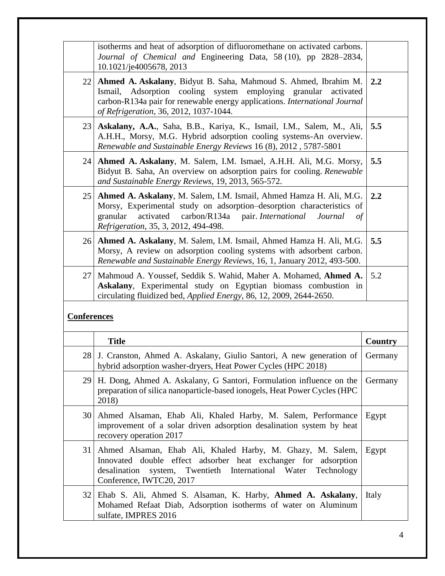|                    | isotherms and heat of adsorption of difluoromethane on activated carbons.<br>Journal of Chemical and Engineering Data, 58 (10), pp 2828–2834,<br>10.1021/je4005678, 2013                                                                                                  |         |
|--------------------|---------------------------------------------------------------------------------------------------------------------------------------------------------------------------------------------------------------------------------------------------------------------------|---------|
| 22                 | Ahmed A. Askalany, Bidyut B. Saha, Mahmoud S. Ahmed, Ibrahim M.<br>Adsorption cooling system employing granular<br>Ismail,<br>activated<br>carbon-R134a pair for renewable energy applications. International Journal<br>of Refrigeration, 36, 2012, 1037-1044.           | 2.2     |
| 23                 | Askalany, A.A., Saha, B.B., Kariya, K., Ismail, I.M., Salem, M., Ali,<br>A.H.H., Morsy, M.G. Hybrid adsorption cooling systems-An overview.<br>Renewable and Sustainable Energy Reviews 16 (8), 2012, 5787-5801                                                           | 5.5     |
| 24                 | Ahmed A. Askalany, M. Salem, I.M. Ismael, A.H.H. Ali, M.G. Morsy,<br>Bidyut B. Saha, An overview on adsorption pairs for cooling. Renewable<br>and Sustainable Energy Reviews, 19, 2013, 565-572.                                                                         | 5.5     |
| 25                 | Ahmed A. Askalany, M. Salem, I.M. Ismail, Ahmed Hamza H. Ali, M.G.<br>Morsy, Experimental study on adsorption-desorption characteristics of<br>activated<br>carbon/R134a pair. International<br>granular<br>Journal<br>$\sigma f$<br>Refrigeration, 35, 3, 2012, 494-498. | 2.2     |
| 26                 | Ahmed A. Askalany, M. Salem, I.M. Ismail, Ahmed Hamza H. Ali, M.G.<br>Morsy, A review on adsorption cooling systems with adsorbent carbon.<br>Renewable and Sustainable Energy Reviews, 16, 1, January 2012, 493-500.                                                     | 5.5     |
| 27 <sup>1</sup>    | Mahmoud A. Youssef, Seddik S. Wahid, Maher A. Mohamed, Ahmed A.<br>Askalany, Experimental study on Egyptian biomass combustion in<br>circulating fluidized bed, Applied Energy, 86, 12, 2009, 2644-2650.                                                                  | 5.2     |
| <b>Conferences</b> |                                                                                                                                                                                                                                                                           |         |
|                    | <b>Title</b>                                                                                                                                                                                                                                                              | Country |
|                    | 28 J. Cranston, Ahmed A. Askalany, Giulio Santori, A new generation of Germany<br>hybrid adsorption washer-dryers, Heat Power Cycles (HPC 2018)                                                                                                                           |         |
|                    | 29 H. Dong, Ahmed A. Askalany, G Santori, Formulation influence on the<br>preparation of silica nanoparticle-based ionogels, Heat Power Cycles (HPC<br>2018)                                                                                                              | Germany |
| 30                 | Ahmed Alsaman, Ehab Ali, Khaled Harby, M. Salem, Performance<br>improvement of a solar driven adsorption desalination system by heat<br>recovery operation 2017                                                                                                           | Egypt   |
| 31                 | Ahmed Alsaman, Ehab Ali, Khaled Harby, M. Ghazy, M. Salem,<br>Innovated double effect adsorber heat exchanger for adsorption<br>International Water<br>desalination<br>Twentieth<br>Technology<br>system,<br>Conference, IWTC20, 2017                                     | Egypt   |
| 32                 | Ehab S. Ali, Ahmed S. Alsaman, K. Harby, Ahmed A. Askalany,<br>Mohamed Refaat Diab, Adsorption isotherms of water on Aluminum<br>sulfate, IMPRES 2016                                                                                                                     | Italy   |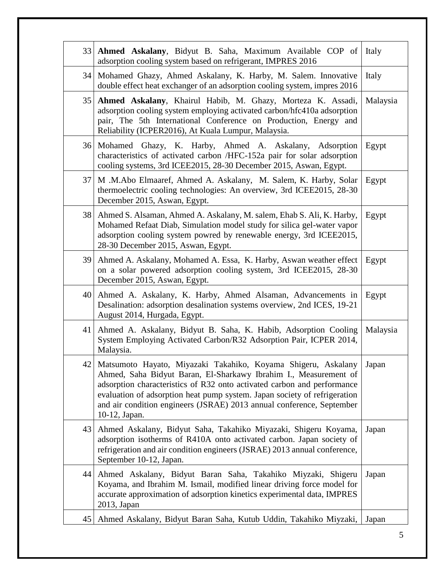| 33              | Ahmed Askalany, Bidyut B. Saha, Maximum Available COP of<br>adsorption cooling system based on refrigerant, IMPRES 2016                                                                                                                                                                                                                                                             | Italy    |
|-----------------|-------------------------------------------------------------------------------------------------------------------------------------------------------------------------------------------------------------------------------------------------------------------------------------------------------------------------------------------------------------------------------------|----------|
| 34              | Mohamed Ghazy, Ahmed Askalany, K. Harby, M. Salem. Innovative<br>double effect heat exchanger of an adsorption cooling system, impres 2016                                                                                                                                                                                                                                          | Italy    |
| 35              | Ahmed Askalany, Khairul Habib, M. Ghazy, Morteza K. Assadi,<br>adsorption cooling system employing activated carbon/hfc410a adsorption<br>pair, The 5th International Conference on Production, Energy and<br>Reliability (ICPER2016), At Kuala Lumpur, Malaysia.                                                                                                                   | Malaysia |
|                 | 36 Mohamed Ghazy, K. Harby, Ahmed A. Askalany, Adsorption<br>characteristics of activated carbon /HFC-152a pair for solar adsorption<br>cooling systems, 3rd ICEE2015, 28-30 December 2015, Aswan, Egypt.                                                                                                                                                                           | Egypt    |
| 37 <sup>1</sup> | M.M.Abo Elmaaref, Ahmed A. Askalany, M. Salem, K. Harby, Solar<br>thermoelectric cooling technologies: An overview, 3rd ICEE2015, 28-30<br>December 2015, Aswan, Egypt.                                                                                                                                                                                                             | Egypt    |
| 38              | Ahmed S. Alsaman, Ahmed A. Askalany, M. salem, Ehab S. Ali, K. Harby,<br>Mohamed Refaat Diab, Simulation model study for silica gel-water vapor<br>adsorption cooling system powred by renewable energy, 3rd ICEE2015,<br>28-30 December 2015, Aswan, Egypt.                                                                                                                        | Egypt    |
| 39              | Ahmed A. Askalany, Mohamed A. Essa, K. Harby, Aswan weather effect<br>on a solar powered adsorption cooling system, 3rd ICEE2015, 28-30<br>December 2015, Aswan, Egypt.                                                                                                                                                                                                             | Egypt    |
| 40              | Ahmed A. Askalany, K. Harby, Ahmed Alsaman, Advancements in<br>Desalination: adsorption desalination systems overview, 2nd ICES, 19-21<br>August 2014, Hurgada, Egypt.                                                                                                                                                                                                              | Egypt    |
| 41              | Ahmed A. Askalany, Bidyut B. Saha, K. Habib, Adsorption Cooling<br>System Employing Activated Carbon/R32 Adsorption Pair, ICPER 2014,<br>Malaysia.                                                                                                                                                                                                                                  | Malaysia |
| 42              | Matsumoto Hayato, Miyazaki Takahiko, Koyama Shigeru, Askalany<br>Ahmed, Saha Bidyut Baran, El-Sharkawy Ibrahim I., Measurement of<br>adsorption characteristics of R32 onto activated carbon and performance<br>evaluation of adsorption heat pump system. Japan society of refrigeration<br>and air condition engineers (JSRAE) 2013 annual conference, September<br>10-12, Japan. | Japan    |
| 43              | Ahmed Askalany, Bidyut Saha, Takahiko Miyazaki, Shigeru Koyama,<br>adsorption isotherms of R410A onto activated carbon. Japan society of<br>refrigeration and air condition engineers (JSRAE) 2013 annual conference,<br>September 10-12, Japan.                                                                                                                                    | Japan    |
| 44              | Ahmed Askalany, Bidyut Baran Saha, Takahiko Miyzaki, Shigeru<br>Koyama, and Ibrahim M. Ismail, modified linear driving force model for<br>accurate approximation of adsorption kinetics experimental data, IMPRES<br>2013, Japan                                                                                                                                                    | Japan    |
| 45              | Ahmed Askalany, Bidyut Baran Saha, Kutub Uddin, Takahiko Miyzaki,                                                                                                                                                                                                                                                                                                                   | Japan    |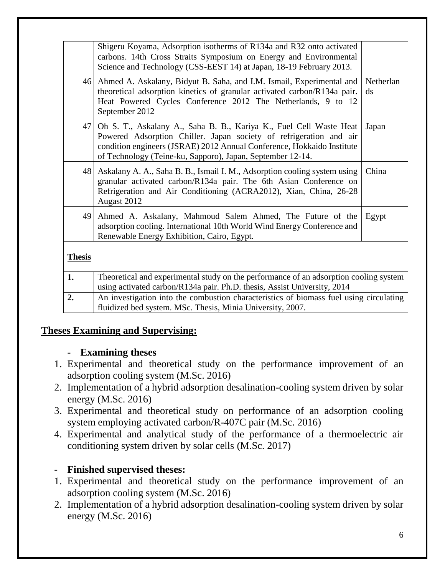|               | Shigeru Koyama, Adsorption isotherms of R134a and R32 onto activated<br>carbons. 14th Cross Straits Symposium on Energy and Environmental<br>Science and Technology (CSS-EEST 14) at Japan, 18-19 February 2013.                                                                 |                                     |
|---------------|----------------------------------------------------------------------------------------------------------------------------------------------------------------------------------------------------------------------------------------------------------------------------------|-------------------------------------|
|               | 46 Ahmed A. Askalany, Bidyut B. Saha, and I.M. Ismail, Experimental and<br>theoretical adsorption kinetics of granular activated carbon/R134a pair.<br>Heat Powered Cycles Conference 2012 The Netherlands, 9 to 12<br>September 2012                                            | Netherlan<br>$\mathrm{d}\mathrm{s}$ |
| 47            | Oh S. T., Askalany A., Saha B. B., Kariya K., Fuel Cell Waste Heat<br>Powered Adsorption Chiller. Japan society of refrigeration and air<br>condition engineers (JSRAE) 2012 Annual Conference, Hokkaido Institute<br>of Technology (Teine-ku, Sapporo), Japan, September 12-14. | Japan                               |
| 48            | Askalany A. A., Saha B. B., Ismail I. M., Adsorption cooling system using<br>granular activated carbon/R134a pair. The 6th Asian Conference on<br>Refrigeration and Air Conditioning (ACRA2012), Xian, China, 26-28<br>Augast 2012                                               | China                               |
| 49            | Ahmed A. Askalany, Mahmoud Salem Ahmed, The Future of the<br>adsorption cooling. International 10th World Wind Energy Conference and<br>Renewable Energy Exhibition, Cairo, Egypt.                                                                                               | Egypt                               |
| <b>Thesis</b> |                                                                                                                                                                                                                                                                                  |                                     |
| 1.            | Theoretical and experimental study on the performance of an adsorption cooling system                                                                                                                                                                                            |                                     |
|               | using activated carbon/R134a pair. Ph.D. thesis, Assist University, 2014                                                                                                                                                                                                         |                                     |
| 2.            | An investigation into the combustion characteristics of biomass fuel using circulating<br>fluidized bed system. MSc. Thesis, Minia University, 2007.                                                                                                                             |                                     |

#### **Theses Examining and Supervising:**

#### - **Examining theses**

- 1. Experimental and theoretical study on the performance improvement of an adsorption cooling system (M.Sc. 2016)
- 2. Implementation of a hybrid adsorption desalination-cooling system driven by solar energy (M.Sc. 2016)
- 3. Experimental and theoretical study on performance of an adsorption cooling system employing activated carbon/R-407C pair (M.Sc. 2016)
- 4. Experimental and analytical study of the performance of a thermoelectric air conditioning system driven by solar cells (M.Sc. 2017)

#### - **Finished supervised theses:**

- 1. Experimental and theoretical study on the performance improvement of an adsorption cooling system (M.Sc. 2016)
- 2. Implementation of a hybrid adsorption desalination-cooling system driven by solar energy (M.Sc. 2016)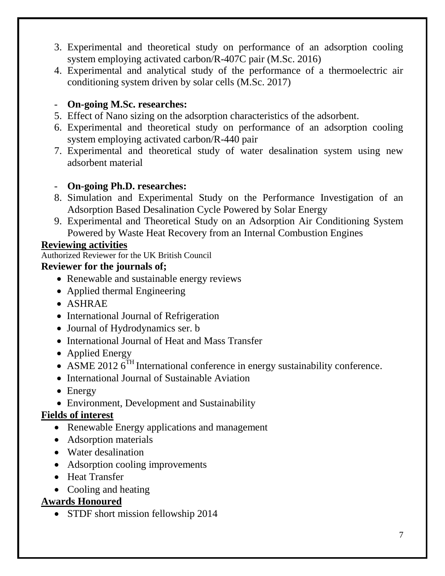- 3. Experimental and theoretical study on performance of an adsorption cooling system employing activated carbon/R-407C pair (M.Sc. 2016)
- 4. Experimental and analytical study of the performance of a thermoelectric air conditioning system driven by solar cells (M.Sc. 2017)

## - **On-going M.Sc. researches:**

- 5. Effect of Nano sizing on the adsorption characteristics of the adsorbent.
- 6. Experimental and theoretical study on performance of an adsorption cooling system employing activated carbon/R-440 pair
- 7. Experimental and theoretical study of water desalination system using new adsorbent material

#### - **On-going Ph.D. researches:**

- 8. Simulation and Experimental Study on the Performance Investigation of an Adsorption Based Desalination Cycle Powered by Solar Energy
- 9. Experimental and Theoretical Study on an Adsorption Air Conditioning System Powered by Waste Heat Recovery from an Internal Combustion Engines

## **Reviewing activities**

Authorized Reviewer for the UK British Council

#### **Reviewer for the journals of;**

- Renewable and sustainable energy reviews
- Applied thermal Engineering
- ASHRAE
- International Journal of Refrigeration
- Journal of Hydrodynamics ser. b
- International Journal of Heat and Mass Transfer
- Applied Energy
- ASME 2012  $6^{TH}$  International conference in energy sustainability conference.
- International Journal of Sustainable Aviation
- Energy
- Environment, Development and Sustainability

#### **Fields of interest**

- Renewable Energy applications and management
- Adsorption materials
- Water desalination
- Adsorption cooling improvements
- Heat Transfer
- Cooling and heating

# **Awards Honoured**

• STDF short mission fellowship 2014